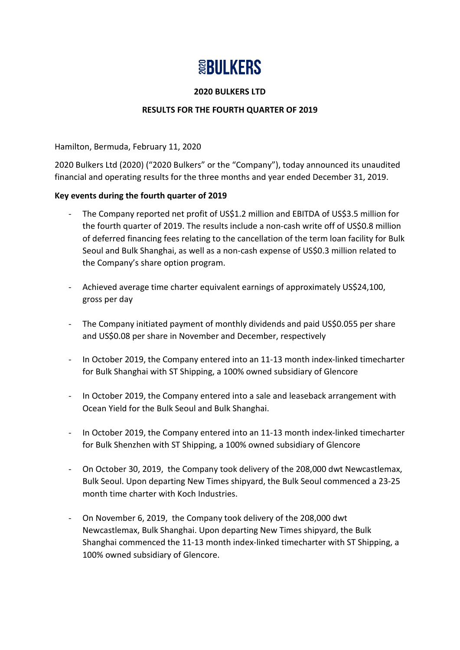# **SEBULKERS**

#### **2020 BULKERS LTD**

## **RESULTS FOR THE FOURTH QUARTER OF 2019**

Hamilton, Bermuda, February 11, 2020

2020 Bulkers Ltd (2020) ("2020 Bulkers" or the "Company"), today announced its unaudited financial and operating results for the three months and year ended December 31, 2019.

#### **Key events during the fourth quarter of 2019**

- The Company reported net profit of US\$1.2 million and EBITDA of US\$3.5 million for the fourth quarter of 2019. The results include a non-cash write off of US\$0.8 million of deferred financing fees relating to the cancellation of the term loan facility for Bulk Seoul and Bulk Shanghai, as well as a non-cash expense of US\$0.3 million related to the Company's share option program.
- Achieved average time charter equivalent earnings of approximately US\$24,100, gross per day
- The Company initiated payment of monthly dividends and paid US\$0.055 per share and US\$0.08 per share in November and December, respectively
- In October 2019, the Company entered into an 11-13 month index-linked timecharter for Bulk Shanghai with ST Shipping, a 100% owned subsidiary of Glencore
- In October 2019, the Company entered into a sale and leaseback arrangement with Ocean Yield for the Bulk Seoul and Bulk Shanghai.
- In October 2019, the Company entered into an 11-13 month index-linked timecharter for Bulk Shenzhen with ST Shipping, a 100% owned subsidiary of Glencore
- On October 30, 2019, the Company took delivery of the 208,000 dwt Newcastlemax, Bulk Seoul. Upon departing New Times shipyard, the Bulk Seoul commenced a 23-25 month time charter with Koch Industries.
- On November 6, 2019, the Company took delivery of the 208,000 dwt Newcastlemax, Bulk Shanghai. Upon departing New Times shipyard, the Bulk Shanghai commenced the 11-13 month index-linked timecharter with ST Shipping, a 100% owned subsidiary of Glencore.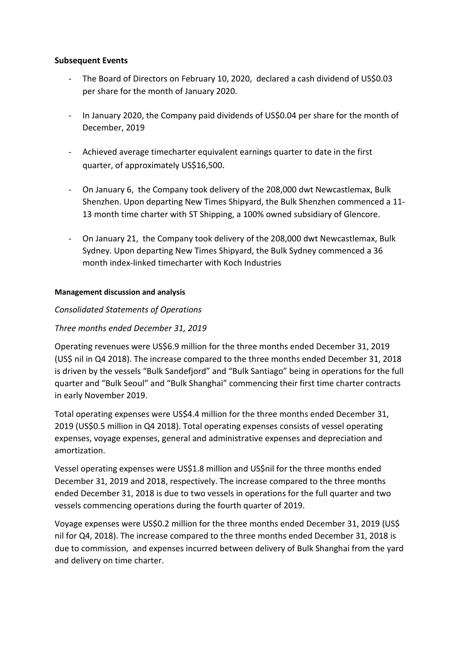#### **Subsequent Events**

- The Board of Directors on February 10, 2020, declared a cash dividend of US\$0.03 per share for the month of January 2020.
- In January 2020, the Company paid dividends of US\$0.04 per share for the month of December, 2019
- Achieved average timecharter equivalent earnings quarter to date in the first quarter, of approximately US\$16,500.
- On January 6, the Company took delivery of the 208,000 dwt Newcastlemax, Bulk Shenzhen. Upon departing New Times Shipyard, the Bulk Shenzhen commenced a 11- 13 month time charter with ST Shipping, a 100% owned subsidiary of Glencore.
- On January 21, the Company took delivery of the 208,000 dwt Newcastlemax, Bulk Sydney. Upon departing New Times Shipyard, the Bulk Sydney commenced a 36 month index-linked timecharter with Koch Industries

#### **Management discussion and analysis**

## *Consolidated Statements of Operations*

## *Three months ended December 31, 2019*

Operating revenues were US\$6.9 million for the three months ended December 31, 2019 (US\$ nil in Q4 2018). The increase compared to the three months ended December 31, 2018 is driven by the vessels "Bulk Sandefjord" and "Bulk Santiago" being in operations for the full quarter and "Bulk Seoul" and "Bulk Shanghai" commencing their first time charter contracts in early November 2019.

Total operating expenses were US\$4.4 million for the three months ended December 31, 2019 (US\$0.5 million in Q4 2018). Total operating expenses consists of vessel operating expenses, voyage expenses, general and administrative expenses and depreciation and amortization.

Vessel operating expenses were US\$1.8 million and US\$nil for the three months ended December 31, 2019 and 2018, respectively. The increase compared to the three months ended December 31, 2018 is due to two vessels in operations for the full quarter and two vessels commencing operations during the fourth quarter of 2019.

Voyage expenses were US\$0.2 million for the three months ended December 31, 2019 (US\$ nil for Q4, 2018). The increase compared to the three months ended December 31, 2018 is due to commission, and expenses incurred between delivery of Bulk Shanghai from the yard and delivery on time charter.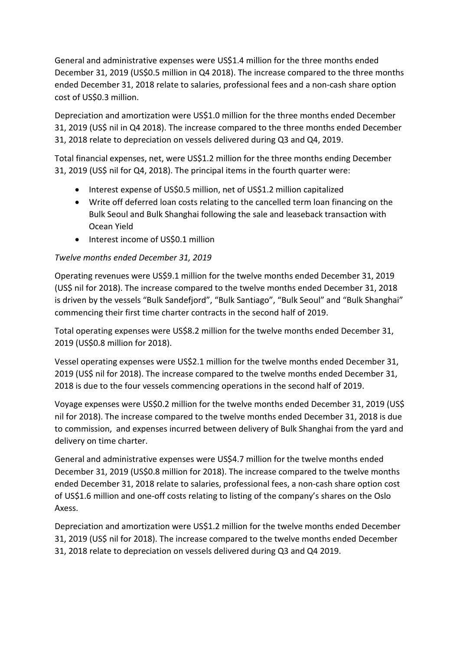General and administrative expenses were US\$1.4 million for the three months ended December 31, 2019 (US\$0.5 million in Q4 2018). The increase compared to the three months ended December 31, 2018 relate to salaries, professional fees and a non-cash share option cost of US\$0.3 million.

Depreciation and amortization were US\$1.0 million for the three months ended December 31, 2019 (US\$ nil in Q4 2018). The increase compared to the three months ended December 31, 2018 relate to depreciation on vessels delivered during Q3 and Q4, 2019.

Total financial expenses, net, were US\$1.2 million for the three months ending December 31, 2019 (US\$ nil for Q4, 2018). The principal items in the fourth quarter were:

- Interest expense of US\$0.5 million, net of US\$1.2 million capitalized
- Write off deferred loan costs relating to the cancelled term loan financing on the Bulk Seoul and Bulk Shanghai following the sale and leaseback transaction with Ocean Yield
- Interest income of US\$0.1 million

# *Twelve months ended December 31, 2019*

Operating revenues were US\$9.1 million for the twelve months ended December 31, 2019 (US\$ nil for 2018). The increase compared to the twelve months ended December 31, 2018 is driven by the vessels "Bulk Sandefjord", "Bulk Santiago", "Bulk Seoul" and "Bulk Shanghai" commencing their first time charter contracts in the second half of 2019.

Total operating expenses were US\$8.2 million for the twelve months ended December 31, 2019 (US\$0.8 million for 2018).

Vessel operating expenses were US\$2.1 million for the twelve months ended December 31, 2019 (US\$ nil for 2018). The increase compared to the twelve months ended December 31, 2018 is due to the four vessels commencing operations in the second half of 2019.

Voyage expenses were US\$0.2 million for the twelve months ended December 31, 2019 (US\$ nil for 2018). The increase compared to the twelve months ended December 31, 2018 is due to commission, and expenses incurred between delivery of Bulk Shanghai from the yard and delivery on time charter.

General and administrative expenses were US\$4.7 million for the twelve months ended December 31, 2019 (US\$0.8 million for 2018). The increase compared to the twelve months ended December 31, 2018 relate to salaries, professional fees, a non-cash share option cost of US\$1.6 million and one-off costs relating to listing of the company's shares on the Oslo Axess.

Depreciation and amortization were US\$1.2 million for the twelve months ended December 31, 2019 (US\$ nil for 2018). The increase compared to the twelve months ended December 31, 2018 relate to depreciation on vessels delivered during Q3 and Q4 2019.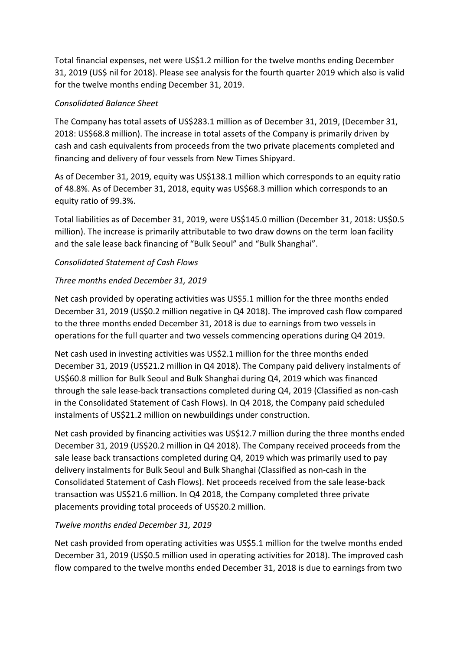Total financial expenses, net were US\$1.2 million for the twelve months ending December 31, 2019 (US\$ nil for 2018). Please see analysis for the fourth quarter 2019 which also is valid for the twelve months ending December 31, 2019.

# *Consolidated Balance Sheet*

The Company has total assets of US\$283.1 million as of December 31, 2019, (December 31, 2018: US\$68.8 million). The increase in total assets of the Company is primarily driven by cash and cash equivalents from proceeds from the two private placements completed and financing and delivery of four vessels from New Times Shipyard.

As of December 31, 2019, equity was US\$138.1 million which corresponds to an equity ratio of 48.8%. As of December 31, 2018, equity was US\$68.3 million which corresponds to an equity ratio of 99.3%.

Total liabilities as of December 31, 2019, were US\$145.0 million (December 31, 2018: US\$0.5 million). The increase is primarily attributable to two draw downs on the term loan facility and the sale lease back financing of "Bulk Seoul" and "Bulk Shanghai".

# *Consolidated Statement of Cash Flows*

# *Three months ended December 31, 2019*

Net cash provided by operating activities was US\$5.1 million for the three months ended December 31, 2019 (US\$0.2 million negative in Q4 2018). The improved cash flow compared to the three months ended December 31, 2018 is due to earnings from two vessels in operations for the full quarter and two vessels commencing operations during Q4 2019.

Net cash used in investing activities was US\$2.1 million for the three months ended December 31, 2019 (US\$21.2 million in Q4 2018). The Company paid delivery instalments of US\$60.8 million for Bulk Seoul and Bulk Shanghai during Q4, 2019 which was financed through the sale lease-back transactions completed during Q4, 2019 (Classified as non-cash in the Consolidated Statement of Cash Flows). In Q4 2018, the Company paid scheduled instalments of US\$21.2 million on newbuildings under construction.

Net cash provided by financing activities was US\$12.7 million during the three months ended December 31, 2019 (US\$20.2 million in Q4 2018). The Company received proceeds from the sale lease back transactions completed during Q4, 2019 which was primarily used to pay delivery instalments for Bulk Seoul and Bulk Shanghai (Classified as non-cash in the Consolidated Statement of Cash Flows). Net proceeds received from the sale lease-back transaction was US\$21.6 million. In Q4 2018, the Company completed three private placements providing total proceeds of US\$20.2 million.

## *Twelve months ended December 31, 2019*

Net cash provided from operating activities was US\$5.1 million for the twelve months ended December 31, 2019 (US\$0.5 million used in operating activities for 2018). The improved cash flow compared to the twelve months ended December 31, 2018 is due to earnings from two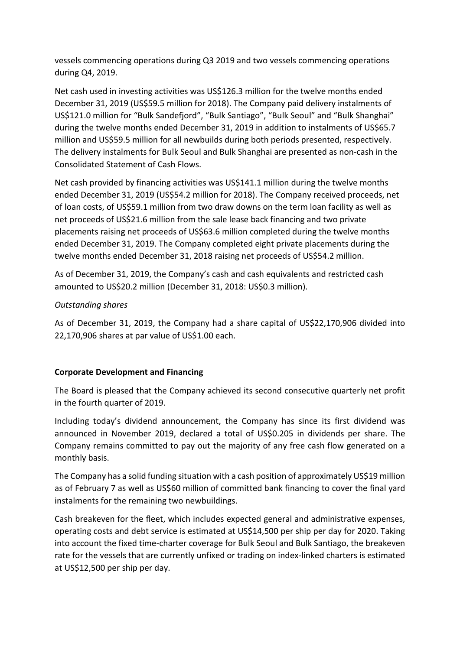vessels commencing operations during Q3 2019 and two vessels commencing operations during Q4, 2019.

Net cash used in investing activities was US\$126.3 million for the twelve months ended December 31, 2019 (US\$59.5 million for 2018). The Company paid delivery instalments of US\$121.0 million for "Bulk Sandefjord", "Bulk Santiago", "Bulk Seoul" and "Bulk Shanghai" during the twelve months ended December 31, 2019 in addition to instalments of US\$65.7 million and US\$59.5 million for all newbuilds during both periods presented, respectively. The delivery instalments for Bulk Seoul and Bulk Shanghai are presented as non-cash in the Consolidated Statement of Cash Flows.

Net cash provided by financing activities was US\$141.1 million during the twelve months ended December 31, 2019 (US\$54.2 million for 2018). The Company received proceeds, net of loan costs, of US\$59.1 million from two draw downs on the term loan facility as well as net proceeds of US\$21.6 million from the sale lease back financing and two private placements raising net proceeds of US\$63.6 million completed during the twelve months ended December 31, 2019. The Company completed eight private placements during the twelve months ended December 31, 2018 raising net proceeds of US\$54.2 million.

As of December 31, 2019, the Company's cash and cash equivalents and restricted cash amounted to US\$20.2 million (December 31, 2018: US\$0.3 million).

## *Outstanding shares*

As of December 31, 2019, the Company had a share capital of US\$22,170,906 divided into 22,170,906 shares at par value of US\$1.00 each.

## **Corporate Development and Financing**

The Board is pleased that the Company achieved its second consecutive quarterly net profit in the fourth quarter of 2019.

Including today's dividend announcement, the Company has since its first dividend was announced in November 2019, declared a total of US\$0.205 in dividends per share. The Company remains committed to pay out the majority of any free cash flow generated on a monthly basis.

The Company has a solid funding situation with a cash position of approximately US\$19 million as of February 7 as well as US\$60 million of committed bank financing to cover the final yard instalments for the remaining two newbuildings.

Cash breakeven for the fleet, which includes expected general and administrative expenses, operating costs and debt service is estimated at US\$14,500 per ship per day for 2020. Taking into account the fixed time-charter coverage for Bulk Seoul and Bulk Santiago, the breakeven rate for the vessels that are currently unfixed or trading on index-linked charters is estimated at US\$12,500 per ship per day.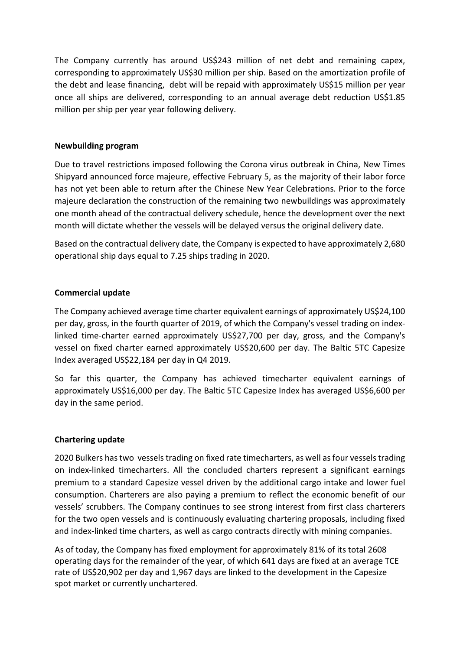The Company currently has around US\$243 million of net debt and remaining capex, corresponding to approximately US\$30 million per ship. Based on the amortization profile of the debt and lease financing, debt will be repaid with approximately US\$15 million per year once all ships are delivered, corresponding to an annual average debt reduction US\$1.85 million per ship per year year following delivery.

## **Newbuilding program**

Due to travel restrictions imposed following the Corona virus outbreak in China, New Times Shipyard announced force majeure, effective February 5, as the majority of their labor force has not yet been able to return after the Chinese New Year Celebrations. Prior to the force majeure declaration the construction of the remaining two newbuildings was approximately one month ahead of the contractual delivery schedule, hence the development over the next month will dictate whether the vessels will be delayed versus the original delivery date.

Based on the contractual delivery date, the Company is expected to have approximately 2,680 operational ship days equal to 7.25 ships trading in 2020.

## **Commercial update**

The Company achieved average time charter equivalent earnings of approximately US\$24,100 per day, gross, in the fourth quarter of 2019, of which the Company's vessel trading on indexlinked time-charter earned approximately US\$27,700 per day, gross, and the Company's vessel on fixed charter earned approximately US\$20,600 per day. The Baltic 5TC Capesize Index averaged US\$22,184 per day in Q4 2019.

So far this quarter, the Company has achieved timecharter equivalent earnings of approximately US\$16,000 per day. The Baltic 5TC Capesize Index has averaged US\$6,600 per day in the same period.

## **Chartering update**

2020 Bulkers has two vessels trading on fixed rate timecharters, as well asfour vessels trading on index-linked timecharters. All the concluded charters represent a significant earnings premium to a standard Capesize vessel driven by the additional cargo intake and lower fuel consumption. Charterers are also paying a premium to reflect the economic benefit of our vessels' scrubbers. The Company continues to see strong interest from first class charterers for the two open vessels and is continuously evaluating chartering proposals, including fixed and index-linked time charters, as well as cargo contracts directly with mining companies.

As of today, the Company has fixed employment for approximately 81% of its total 2608 operating days for the remainder of the year, of which 641 days are fixed at an average TCE rate of US\$20,902 per day and 1,967 days are linked to the development in the Capesize spot market or currently unchartered.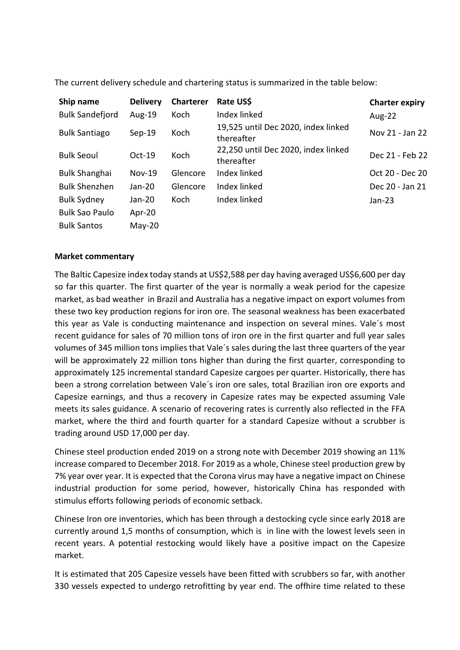| Ship name              | <b>Delivery</b> | <b>Charterer</b> | Rate US\$                                         | <b>Charter expiry</b> |
|------------------------|-----------------|------------------|---------------------------------------------------|-----------------------|
| <b>Bulk Sandefjord</b> | Aug-19          | Koch             | Index linked                                      | <b>Aug-22</b>         |
| <b>Bulk Santiago</b>   | $Sep-19$        | Koch             | 19,525 until Dec 2020, index linked<br>thereafter | Nov 21 - Jan 22       |
| <b>Bulk Seoul</b>      | $Oct-19$        | Koch             | 22,250 until Dec 2020, index linked<br>thereafter | Dec 21 - Feb 22       |
| <b>Bulk Shanghai</b>   | <b>Nov-19</b>   | Glencore         | Index linked                                      | Oct 20 - Dec 20       |
| <b>Bulk Shenzhen</b>   | Jan-20          | Glencore         | Index linked                                      | Dec 20 - Jan 21       |
| <b>Bulk Sydney</b>     | Jan-20          | Koch             | Index linked                                      | Jan-23                |
| <b>Bulk Sao Paulo</b>  | Apr-20          |                  |                                                   |                       |
| <b>Bulk Santos</b>     | $May-20$        |                  |                                                   |                       |

The current delivery schedule and chartering status is summarized in the table below:

#### **Market commentary**

The Baltic Capesize index today stands at US\$2,588 per day having averaged US\$6,600 per day so far this quarter. The first quarter of the year is normally a weak period for the capesize market, as bad weather in Brazil and Australia has a negative impact on export volumes from these two key production regions for iron ore. The seasonal weakness has been exacerbated this year as Vale is conducting maintenance and inspection on several mines. Vale´s most recent guidance for sales of 70 million tons of iron ore in the first quarter and full year sales volumes of 345 million tons implies that Vale´s sales during the last three quarters of the year will be approximately 22 million tons higher than during the first quarter, corresponding to approximately 125 incremental standard Capesize cargoes per quarter. Historically, there has been a strong correlation between Vale´s iron ore sales, total Brazilian iron ore exports and Capesize earnings, and thus a recovery in Capesize rates may be expected assuming Vale meets its sales guidance. A scenario of recovering rates is currently also reflected in the FFA market, where the third and fourth quarter for a standard Capesize without a scrubber is trading around USD 17,000 per day.

Chinese steel production ended 2019 on a strong note with December 2019 showing an 11% increase compared to December 2018. For 2019 as a whole, Chinese steel production grew by 7% year over year. It is expected that the Corona virus may have a negative impact on Chinese industrial production for some period, however, historically China has responded with stimulus efforts following periods of economic setback.

Chinese Iron ore inventories, which has been through a destocking cycle since early 2018 are currently around 1,5 months of consumption, which is in line with the lowest levels seen in recent years. A potential restocking would likely have a positive impact on the Capesize market.

It is estimated that 205 Capesize vessels have been fitted with scrubbers so far, with another 330 vessels expected to undergo retrofitting by year end. The offhire time related to these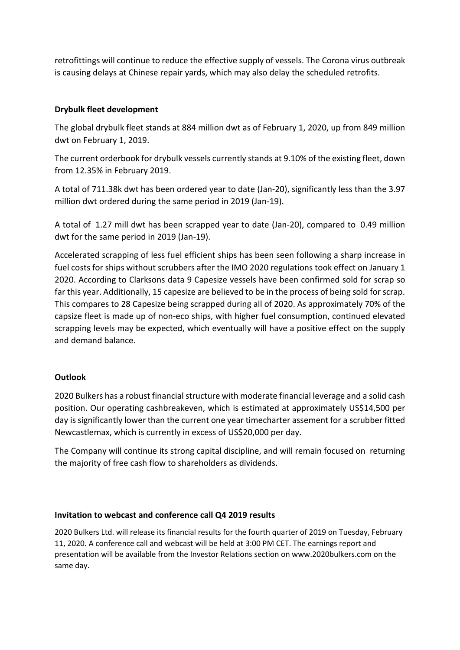retrofittings will continue to reduce the effective supply of vessels. The Corona virus outbreak is causing delays at Chinese repair yards, which may also delay the scheduled retrofits.

## **Drybulk fleet development**

The global drybulk fleet stands at 884 million dwt as of February 1, 2020, up from 849 million dwt on February 1, 2019.

The current orderbook for drybulk vessels currently stands at 9.10% of the existing fleet, down from 12.35% in February 2019.

A total of 711.38k dwt has been ordered year to date (Jan-20), significantly less than the 3.97 million dwt ordered during the same period in 2019 (Jan-19).

A total of 1.27 mill dwt has been scrapped year to date (Jan-20), compared to 0.49 million dwt for the same period in 2019 (Jan-19).

Accelerated scrapping of less fuel efficient ships has been seen following a sharp increase in fuel costs for ships without scrubbers after the IMO 2020 regulations took effect on January 1 2020. According to Clarksons data 9 Capesize vessels have been confirmed sold for scrap so far this year. Additionally, 15 capesize are believed to be in the process of being sold for scrap. This compares to 28 Capesize being scrapped during all of 2020. As approximately 70% of the capsize fleet is made up of non-eco ships, with higher fuel consumption, continued elevated scrapping levels may be expected, which eventually will have a positive effect on the supply and demand balance.

## **Outlook**

2020 Bulkers has a robust financial structure with moderate financial leverage and a solid cash position. Our operating cashbreakeven, which is estimated at approximately US\$14,500 per day is significantly lower than the current one year timecharter assement for a scrubber fitted Newcastlemax, which is currently in excess of US\$20,000 per day.

The Company will continue its strong capital discipline, and will remain focused on returning the majority of free cash flow to shareholders as dividends.

## **Invitation to webcast and conference call Q4 2019 results**

2020 Bulkers Ltd. will release its financial results for the fourth quarter of 2019 on Tuesday, February 11, 2020. A conference call and webcast will be held at 3:00 PM CET. The earnings report and presentation will be available from the Investor Relations section on www.2020bulkers.com on the same day.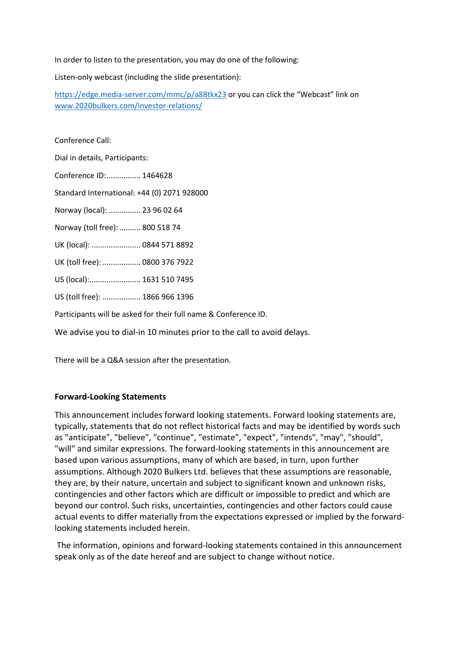In order to listen to the presentation, you may do one of the following:

Listen-only webcast (including the slide presentation):

<https://edge.media-server.com/mmc/p/a88tkx23> or you can click the "Webcast" link on [www.2020bulkers.com/investor-relations/](http://www.2020bulkers.com/investor-relations/)

Conference Call:

Dial in details, Participants:

Conference ID:................ 1464628

Standard International: +44 (0) 2071 928000

Norway (local): ............... 23 96 02 64

Norway (toll free): .......... 800 518 74

UK (local): ....................... 0844 571 8892

UK (toll free): .................. 0800 376 7922

US (local):........................ 1631 510 7495

US (toll free): .................. 1866 966 1396

Participants will be asked for their full name & Conference ID.

We advise you to dial-in 10 minutes prior to the call to avoid delays.

There will be a Q&A session after the presentation.

#### **Forward-Looking Statements**

This announcement includes forward looking statements. Forward looking statements are, typically, statements that do not reflect historical facts and may be identified by words such as "anticipate", "believe", "continue", "estimate", "expect", "intends", "may", "should", "will" and similar expressions. The forward-looking statements in this announcement are based upon various assumptions, many of which are based, in turn, upon further assumptions. Although 2020 Bulkers Ltd. believes that these assumptions are reasonable, they are, by their nature, uncertain and subject to significant known and unknown risks, contingencies and other factors which are difficult or impossible to predict and which are beyond our control. Such risks, uncertainties, contingencies and other factors could cause actual events to differ materially from the expectations expressed or implied by the forwardlooking statements included herein.

The information, opinions and forward-looking statements contained in this announcement speak only as of the date hereof and are subject to change without notice.